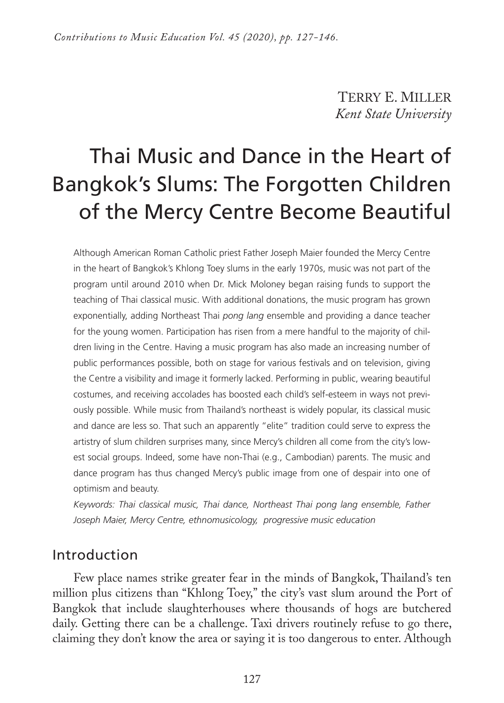TERRY E. MILLER *Kent State University* 

# Thai Music and Dance in the Heart of Bangkok's Slums: The Forgotten Children of the Mercy Centre Become Beautiful

Although American Roman Catholic priest Father Joseph Maier founded the Mercy Centre in the heart of Bangkok's Khlong Toey slums in the early 1970s, music was not part of the program until around 2010 when Dr. Mick Moloney began raising funds to support the teaching of Thai classical music. With additional donations, the music program has grown exponentially, adding Northeast Thai *pong lang* ensemble and providing a dance teacher for the young women. Participation has risen from a mere handful to the majority of children living in the Centre. Having a music program has also made an increasing number of public performances possible, both on stage for various festivals and on television, giving the Centre a visibility and image it formerly lacked. Performing in public, wearing beautiful costumes, and receiving accolades has boosted each child's self-esteem in ways not previously possible. While music from Thailand's northeast is widely popular, its classical music and dance are less so. That such an apparently "elite" tradition could serve to express the artistry of slum children surprises many, since Mercy's children all come from the city's lowest social groups. Indeed, some have non-Thai (e.g., Cambodian) parents. The music and dance program has thus changed Mercy's public image from one of despair into one of optimism and beauty.

*Keywords: Thai classical music, Thai dance, Northeast Thai pong lang ensemble, Father Joseph Maier, Mercy Centre, ethnomusicology, progressive music education*

## Introduction

Few place names strike greater fear in the minds of Bangkok, Thailand's ten million plus citizens than "Khlong Toey," the city's vast slum around the Port of Bangkok that include slaughterhouses where thousands of hogs are butchered daily. Getting there can be a challenge. Taxi drivers routinely refuse to go there, claiming they don't know the area or saying it is too dangerous to enter. Although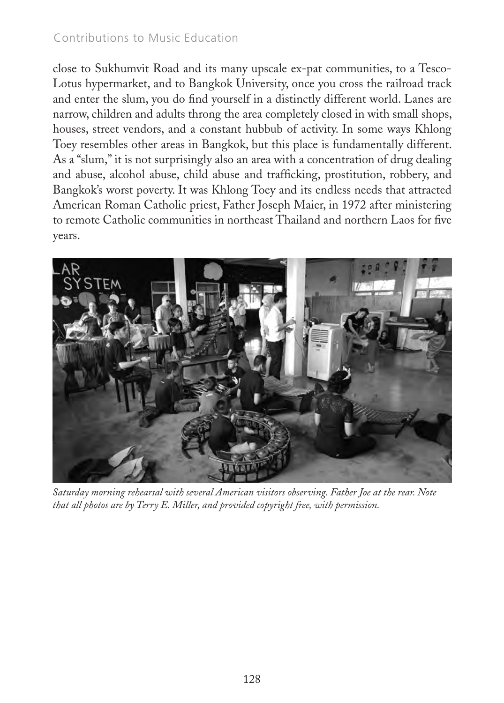close to Sukhumvit Road and its many upscale ex-pat communities, to a Tesco-Lotus hypermarket, and to Bangkok University, once you cross the railroad track and enter the slum, you do find yourself in a distinctly different world. Lanes are narrow, children and adults throng the area completely closed in with small shops, houses, street vendors, and a constant hubbub of activity. In some ways Khlong Toey resembles other areas in Bangkok, but this place is fundamentally different. As a "slum," it is not surprisingly also an area with a concentration of drug dealing and abuse, alcohol abuse, child abuse and trafficking, prostitution, robbery, and Bangkok's worst poverty. It was Khlong Toey and its endless needs that attracted American Roman Catholic priest, Father Joseph Maier, in 1972 after ministering to remote Catholic communities in northeast Thailand and northern Laos for five years.



*Saturday morning rehearsal with several American visitors observing. Father Joe at the rear. Note that all photos are by Terry E. Miller, and provided copyright free, with permission.*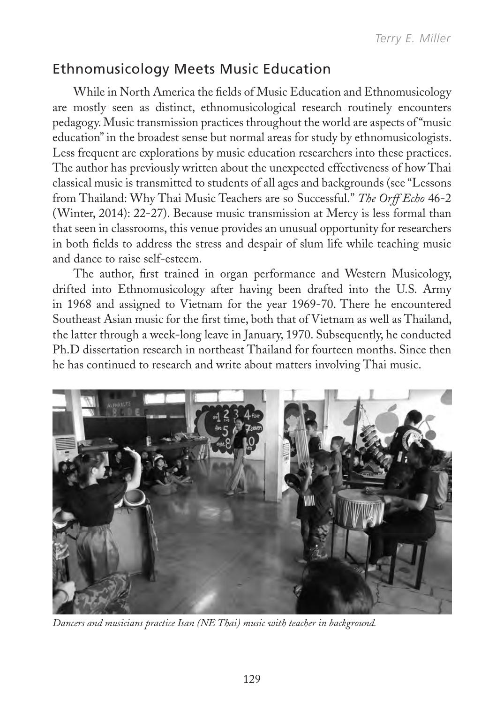## Ethnomusicology Meets Music Education

While in North America the fields of Music Education and Ethnomusicology are mostly seen as distinct, ethnomusicological research routinely encounters pedagogy. Music transmission practices throughout the world are aspects of "music education" in the broadest sense but normal areas for study by ethnomusicologists. Less frequent are explorations by music education researchers into these practices. The author has previously written about the unexpected effectiveness of how Thai classical music is transmitted to students of all ages and backgrounds (see "Lessons from Thailand: Why Thai Music Teachers are so Successful." *The Orff Echo* 46-2 (Winter, 2014): 22-27). Because music transmission at Mercy is less formal than that seen in classrooms, this venue provides an unusual opportunity for researchers in both fields to address the stress and despair of slum life while teaching music and dance to raise self-esteem.

The author, first trained in organ performance and Western Musicology, drifted into Ethnomusicology after having been drafted into the U.S. Army in 1968 and assigned to Vietnam for the year 1969-70. There he encountered Southeast Asian music for the first time, both that of Vietnam as well as Thailand, the latter through a week-long leave in January, 1970. Subsequently, he conducted Ph.D dissertation research in northeast Thailand for fourteen months. Since then he has continued to research and write about matters involving Thai music.



*Dancers and musicians practice Isan (NE Thai) music with teacher in background.*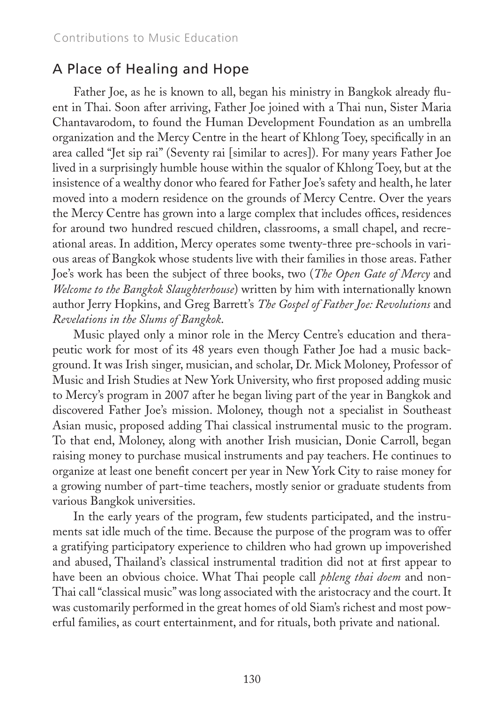#### A Place of Healing and Hope

Father Joe, as he is known to all, began his ministry in Bangkok already fluent in Thai. Soon after arriving, Father Joe joined with a Thai nun, Sister Maria Chantavarodom, to found the Human Development Foundation as an umbrella organization and the Mercy Centre in the heart of Khlong Toey, specifically in an area called "Jet sip rai" (Seventy rai [similar to acres]). For many years Father Joe lived in a surprisingly humble house within the squalor of Khlong Toey, but at the insistence of a wealthy donor who feared for Father Joe's safety and health, he later moved into a modern residence on the grounds of Mercy Centre. Over the years the Mercy Centre has grown into a large complex that includes offices, residences for around two hundred rescued children, classrooms, a small chapel, and recreational areas. In addition, Mercy operates some twenty-three pre-schools in various areas of Bangkok whose students live with their families in those areas. Father Joe's work has been the subject of three books, two (*The Open Gate of Mercy* and *Welcome to the Bangkok Slaughterhouse*) written by him with internationally known author Jerry Hopkins, and Greg Barrett's *The Gospel of Father Joe: Revolutions* and *Revelations in the Slums of Bangkok*.

Music played only a minor role in the Mercy Centre's education and therapeutic work for most of its 48 years even though Father Joe had a music background. It was Irish singer, musician, and scholar, Dr. Mick Moloney, Professor of Music and Irish Studies at New York University, who first proposed adding music to Mercy's program in 2007 after he began living part of the year in Bangkok and discovered Father Joe's mission. Moloney, though not a specialist in Southeast Asian music, proposed adding Thai classical instrumental music to the program. To that end, Moloney, along with another Irish musician, Donie Carroll, began raising money to purchase musical instruments and pay teachers. He continues to organize at least one benefit concert per year in New York City to raise money for a growing number of part-time teachers, mostly senior or graduate students from various Bangkok universities.

In the early years of the program, few students participated, and the instruments sat idle much of the time. Because the purpose of the program was to offer a gratifying participatory experience to children who had grown up impoverished and abused, Thailand's classical instrumental tradition did not at first appear to have been an obvious choice. What Thai people call *phleng thai doem* and non-Thai call "classical music" was long associated with the aristocracy and the court. It was customarily performed in the great homes of old Siam's richest and most powerful families, as court entertainment, and for rituals, both private and national.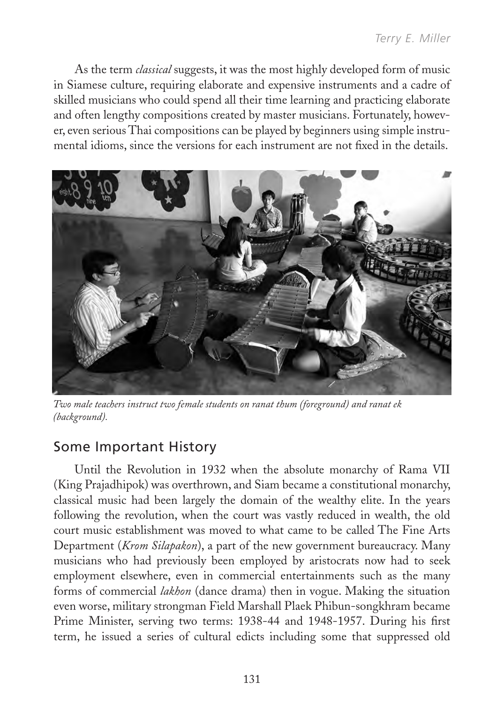As the term *classical* suggests, it was the most highly developed form of music in Siamese culture, requiring elaborate and expensive instruments and a cadre of skilled musicians who could spend all their time learning and practicing elaborate and often lengthy compositions created by master musicians. Fortunately, however, even serious Thai compositions can be played by beginners using simple instrumental idioms, since the versions for each instrument are not fixed in the details.



*Two male teachers instruct two female students on ranat thum (foreground) and ranat ek (background).*

## Some Important History

Until the Revolution in 1932 when the absolute monarchy of Rama VII (King Prajadhipok) was overthrown, and Siam became a constitutional monarchy, classical music had been largely the domain of the wealthy elite. In the years following the revolution, when the court was vastly reduced in wealth, the old court music establishment was moved to what came to be called The Fine Arts Department (*Krom Silapakon*), a part of the new government bureaucracy. Many musicians who had previously been employed by aristocrats now had to seek employment elsewhere, even in commercial entertainments such as the many forms of commercial *lakhon* (dance drama) then in vogue. Making the situation even worse, military strongman Field Marshall Plaek Phibun-songkhram became Prime Minister, serving two terms: 1938-44 and 1948-1957. During his first term, he issued a series of cultural edicts including some that suppressed old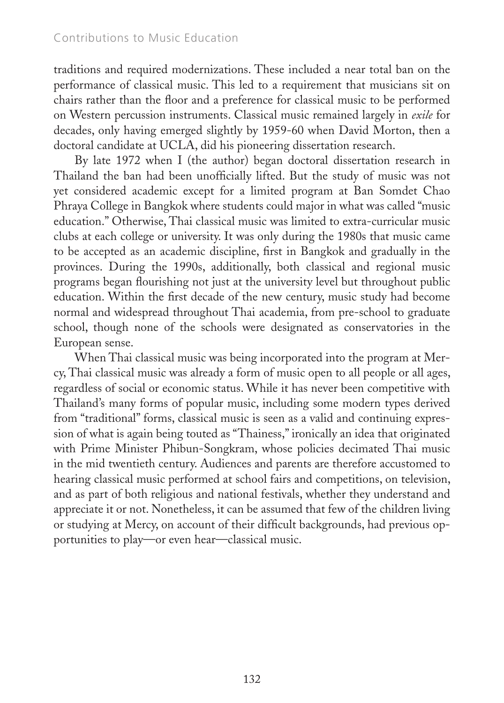traditions and required modernizations. These included a near total ban on the performance of classical music. This led to a requirement that musicians sit on chairs rather than the floor and a preference for classical music to be performed on Western percussion instruments. Classical music remained largely in *exile* for decades, only having emerged slightly by 1959-60 when David Morton, then a doctoral candidate at UCLA, did his pioneering dissertation research.

By late 1972 when I (the author) began doctoral dissertation research in Thailand the ban had been unofficially lifted. But the study of music was not yet considered academic except for a limited program at Ban Somdet Chao Phraya College in Bangkok where students could major in what was called "music education." Otherwise, Thai classical music was limited to extra-curricular music clubs at each college or university. It was only during the 1980s that music came to be accepted as an academic discipline, first in Bangkok and gradually in the provinces. During the 1990s, additionally, both classical and regional music programs began flourishing not just at the university level but throughout public education. Within the first decade of the new century, music study had become normal and widespread throughout Thai academia, from pre-school to graduate school, though none of the schools were designated as conservatories in the European sense.

When Thai classical music was being incorporated into the program at Mercy, Thai classical music was already a form of music open to all people or all ages, regardless of social or economic status. While it has never been competitive with Thailand's many forms of popular music, including some modern types derived from "traditional" forms, classical music is seen as a valid and continuing expression of what is again being touted as "Thainess," ironically an idea that originated with Prime Minister Phibun-Songkram, whose policies decimated Thai music in the mid twentieth century. Audiences and parents are therefore accustomed to hearing classical music performed at school fairs and competitions, on television, and as part of both religious and national festivals, whether they understand and appreciate it or not. Nonetheless, it can be assumed that few of the children living or studying at Mercy, on account of their difficult backgrounds, had previous opportunities to play—or even hear—classical music.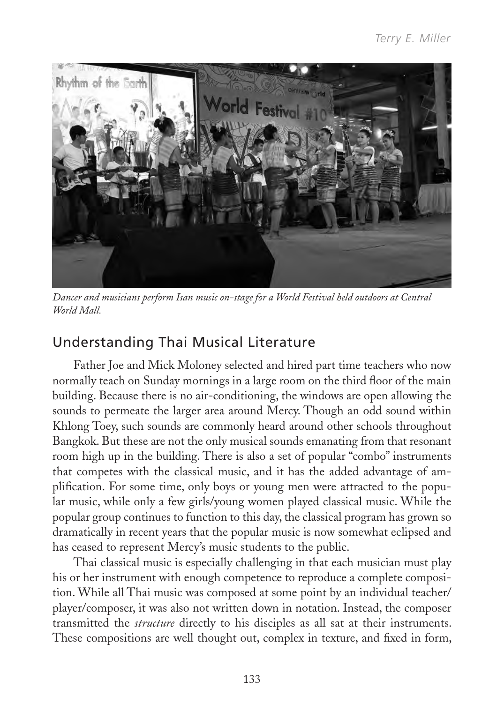

*Dancer and musicians perform Isan music on-stage for a World Festival held outdoors at Central World Mall.*

## Understanding Thai Musical Literature

Father Joe and Mick Moloney selected and hired part time teachers who now normally teach on Sunday mornings in a large room on the third floor of the main building. Because there is no air-conditioning, the windows are open allowing the sounds to permeate the larger area around Mercy. Though an odd sound within Khlong Toey, such sounds are commonly heard around other schools throughout Bangkok. But these are not the only musical sounds emanating from that resonant room high up in the building. There is also a set of popular "combo" instruments that competes with the classical music, and it has the added advantage of amplification. For some time, only boys or young men were attracted to the popular music, while only a few girls/young women played classical music. While the popular group continues to function to this day, the classical program has grown so dramatically in recent years that the popular music is now somewhat eclipsed and has ceased to represent Mercy's music students to the public.

Thai classical music is especially challenging in that each musician must play his or her instrument with enough competence to reproduce a complete composition. While all Thai music was composed at some point by an individual teacher/ player/composer, it was also not written down in notation. Instead, the composer transmitted the *structure* directly to his disciples as all sat at their instruments. These compositions are well thought out, complex in texture, and fixed in form,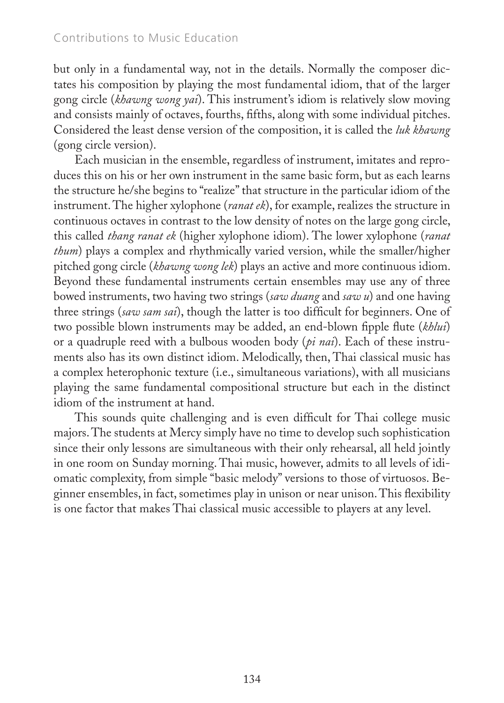but only in a fundamental way, not in the details. Normally the composer dictates his composition by playing the most fundamental idiom, that of the larger gong circle (*khawng wong yai*). This instrument's idiom is relatively slow moving and consists mainly of octaves, fourths, fifths, along with some individual pitches. Considered the least dense version of the composition, it is called the *luk khawng* (gong circle version).

Each musician in the ensemble, regardless of instrument, imitates and reproduces this on his or her own instrument in the same basic form, but as each learns the structure he/she begins to "realize" that structure in the particular idiom of the instrument. The higher xylophone (*ranat ek*), for example, realizes the structure in continuous octaves in contrast to the low density of notes on the large gong circle, this called *thang ranat ek* (higher xylophone idiom). The lower xylophone (*ranat thum*) plays a complex and rhythmically varied version, while the smaller/higher pitched gong circle (*khawng wong lek*) plays an active and more continuous idiom. Beyond these fundamental instruments certain ensembles may use any of three bowed instruments, two having two strings (*saw duang* and *saw u*) and one having three strings (*saw sam sai*), though the latter is too difficult for beginners. One of two possible blown instruments may be added, an end-blown fipple flute (*khlui*) or a quadruple reed with a bulbous wooden body (*pi nai*). Each of these instruments also has its own distinct idiom. Melodically, then, Thai classical music has a complex heterophonic texture (i.e., simultaneous variations), with all musicians playing the same fundamental compositional structure but each in the distinct idiom of the instrument at hand.

This sounds quite challenging and is even difficult for Thai college music majors. The students at Mercy simply have no time to develop such sophistication since their only lessons are simultaneous with their only rehearsal, all held jointly in one room on Sunday morning. Thai music, however, admits to all levels of idiomatic complexity, from simple "basic melody" versions to those of virtuosos. Beginner ensembles, in fact, sometimes play in unison or near unison. This flexibility is one factor that makes Thai classical music accessible to players at any level.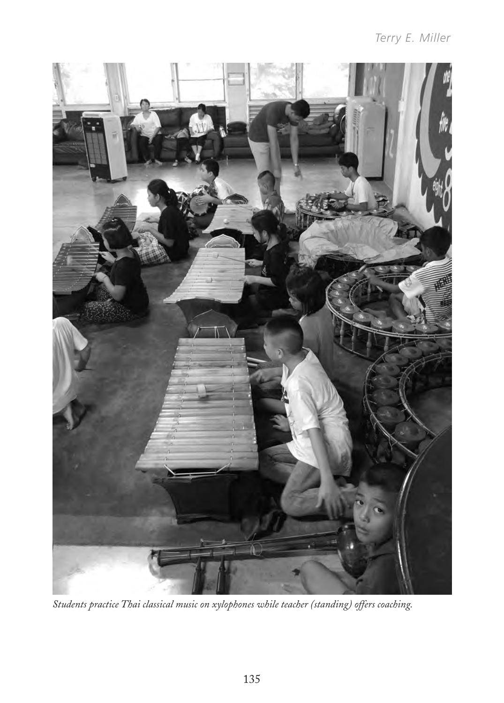

*Students practice Thai classical music on xylophones while teacher (standing) offers coaching.*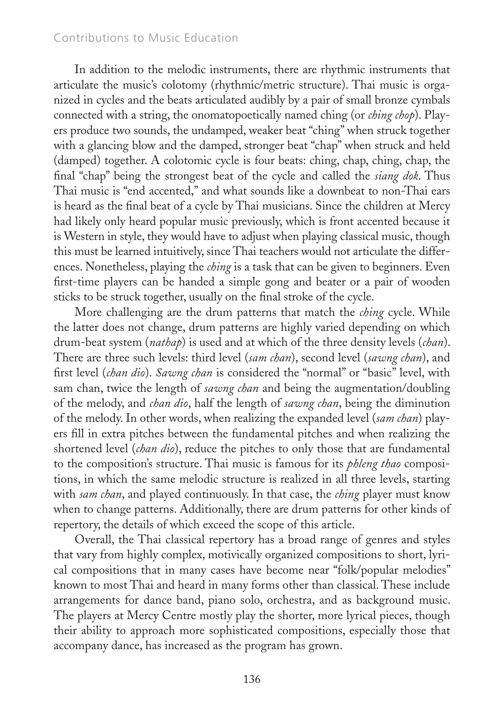In addition to the melodic instruments, there are rhythmic instruments that articulate the music's colotomy (rhythmic/metric structure). Thai music is organized in cycles and the beats articulated audibly by a pair of small bronze cymbals connected with a string, the onomatopoetically named ching (or *ching chop*). Players produce two sounds, the undamped, weaker beat "ching" when struck together with a glancing blow and the damped, stronger beat "chap" when struck and held (damped) together. A colotomic cycle is four beats: ching, chap, ching, chap, the final "chap" being the strongest beat of the cycle and called the *siang dok*. Thus Thai music is "end accented," and what sounds like a downbeat to non-Thai ears is heard as the final beat of a cycle by Thai musicians. Since the children at Mercy had likely only heard popular music previously, which is front accented because it is Western in style, they would have to adjust when playing classical music, though this must be learned intuitively, since Thai teachers would not articulate the differences. Nonetheless, playing the *ching* is a task that can be given to beginners. Even first-time players can be handed a simple gong and beater or a pair of wooden sticks to be struck together, usually on the final stroke of the cycle.

More challenging are the drum patterns that match the *ching* cycle. While the latter does not change, drum patterns are highly varied depending on which drum-beat system (*nathap*) is used and at which of the three density levels (*chan*). There are three such levels: third level (*sam chan*), second level (*sawng chan*), and first level (*chan dio*). *Sawng chan* is considered the "normal" or "basic" level, with sam chan, twice the length of *sawng chan* and being the augmentation/doubling of the melody, and *chan dio*, half the length of *sawng chan*, being the diminution of the melody. In other words, when realizing the expanded level (*sam chan*) players fill in extra pitches between the fundamental pitches and when realizing the shortened level (*chan dio*), reduce the pitches to only those that are fundamental to the composition's structure. Thai music is famous for its *phleng thao* compositions, in which the same melodic structure is realized in all three levels, starting with *sam chan*, and played continuously. In that case, the *ching* player must know when to change patterns. Additionally, there are drum patterns for other kinds of repertory, the details of which exceed the scope of this article.

Overall, the Thai classical repertory has a broad range of genres and styles that vary from highly complex, motivically organized compositions to short, lyrical compositions that in many cases have become near "folk/popular melodies" known to most Thai and heard in many forms other than classical. These include arrangements for dance band, piano solo, orchestra, and as background music. The players at Mercy Centre mostly play the shorter, more lyrical pieces, though their ability to approach more sophisticated compositions, especially those that accompany dance, has increased as the program has grown.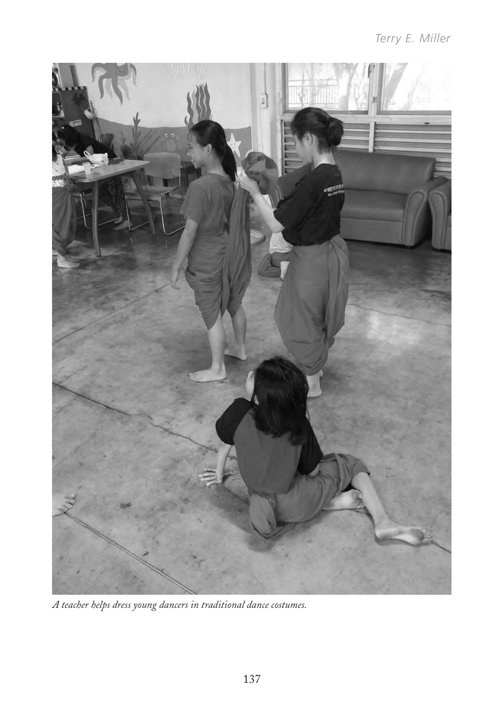

*A teacher helps dress young dancers in traditional dance costumes.*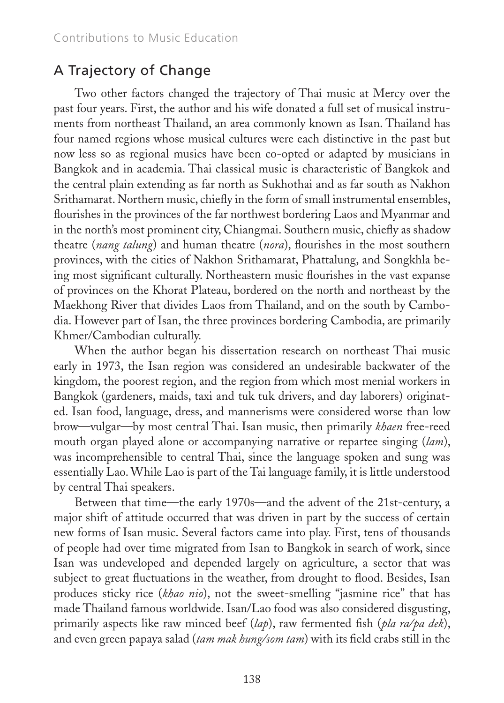## A Trajectory of Change

Two other factors changed the trajectory of Thai music at Mercy over the past four years. First, the author and his wife donated a full set of musical instruments from northeast Thailand, an area commonly known as Isan. Thailand has four named regions whose musical cultures were each distinctive in the past but now less so as regional musics have been co-opted or adapted by musicians in Bangkok and in academia. Thai classical music is characteristic of Bangkok and the central plain extending as far north as Sukhothai and as far south as Nakhon Srithamarat. Northern music, chiefly in the form of small instrumental ensembles, flourishes in the provinces of the far northwest bordering Laos and Myanmar and in the north's most prominent city, Chiangmai. Southern music, chiefly as shadow theatre (*nang talung*) and human theatre (*nora*), flourishes in the most southern provinces, with the cities of Nakhon Srithamarat, Phattalung, and Songkhla being most significant culturally. Northeastern music flourishes in the vast expanse of provinces on the Khorat Plateau, bordered on the north and northeast by the Maekhong River that divides Laos from Thailand, and on the south by Cambodia. However part of Isan, the three provinces bordering Cambodia, are primarily Khmer/Cambodian culturally.

When the author began his dissertation research on northeast Thai music early in 1973, the Isan region was considered an undesirable backwater of the kingdom, the poorest region, and the region from which most menial workers in Bangkok (gardeners, maids, taxi and tuk tuk drivers, and day laborers) originated. Isan food, language, dress, and mannerisms were considered worse than low brow—vulgar—by most central Thai. Isan music, then primarily *khaen* free-reed mouth organ played alone or accompanying narrative or repartee singing (*lam*), was incomprehensible to central Thai, since the language spoken and sung was essentially Lao. While Lao is part of the Tai language family, it is little understood by central Thai speakers.

Between that time—the early 1970s—and the advent of the 21st-century, a major shift of attitude occurred that was driven in part by the success of certain new forms of Isan music. Several factors came into play. First, tens of thousands of people had over time migrated from Isan to Bangkok in search of work, since Isan was undeveloped and depended largely on agriculture, a sector that was subject to great fluctuations in the weather, from drought to flood. Besides, Isan produces sticky rice (*khao nio*), not the sweet-smelling "jasmine rice" that has made Thailand famous worldwide. Isan/Lao food was also considered disgusting, primarily aspects like raw minced beef (*lap*), raw fermented fish (*pla ra/pa dek*), and even green papaya salad (*tam mak hung/som tam*) with its field crabs still in the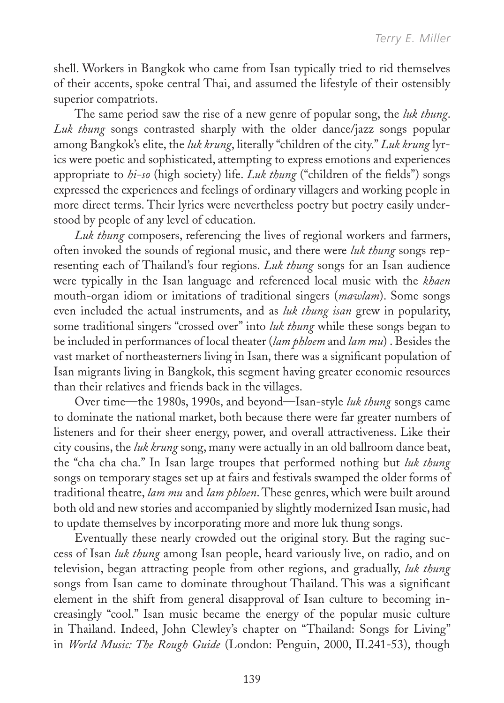shell. Workers in Bangkok who came from Isan typically tried to rid themselves of their accents, spoke central Thai, and assumed the lifestyle of their ostensibly superior compatriots.

The same period saw the rise of a new genre of popular song, the *luk thung*. *Luk thung* songs contrasted sharply with the older dance/jazz songs popular among Bangkok's elite, the *luk krung*, literally "children of the city." *Luk krung* lyrics were poetic and sophisticated, attempting to express emotions and experiences appropriate to *hi-so* (high society) life. *Luk thung* ("children of the fields") songs expressed the experiences and feelings of ordinary villagers and working people in more direct terms. Their lyrics were nevertheless poetry but poetry easily understood by people of any level of education.

*Luk thung* composers, referencing the lives of regional workers and farmers, often invoked the sounds of regional music, and there were *luk thung* songs representing each of Thailand's four regions. *Luk thung* songs for an Isan audience were typically in the Isan language and referenced local music with the *khaen* mouth-organ idiom or imitations of traditional singers (*mawlam*). Some songs even included the actual instruments, and as *luk thung isan* grew in popularity, some traditional singers "crossed over" into *luk thung* while these songs began to be included in performances of local theater (*lam phloem* and *lam mu*) . Besides the vast market of northeasterners living in Isan, there was a significant population of Isan migrants living in Bangkok, this segment having greater economic resources than their relatives and friends back in the villages.

Over time—the 1980s, 1990s, and beyond—Isan-style *luk thung* songs came to dominate the national market, both because there were far greater numbers of listeners and for their sheer energy, power, and overall attractiveness. Like their city cousins, the *luk krung* song, many were actually in an old ballroom dance beat, the "cha cha cha." In Isan large troupes that performed nothing but *luk thung* songs on temporary stages set up at fairs and festivals swamped the older forms of traditional theatre, *lam mu* and *lam phloen*. These genres, which were built around both old and new stories and accompanied by slightly modernized Isan music, had to update themselves by incorporating more and more luk thung songs.

Eventually these nearly crowded out the original story. But the raging success of Isan *luk thung* among Isan people, heard variously live, on radio, and on television, began attracting people from other regions, and gradually, *luk thung* songs from Isan came to dominate throughout Thailand. This was a significant element in the shift from general disapproval of Isan culture to becoming increasingly "cool." Isan music became the energy of the popular music culture in Thailand. Indeed, John Clewley's chapter on "Thailand: Songs for Living" in *World Music: The Rough Guide* (London: Penguin, 2000, II.241-53), though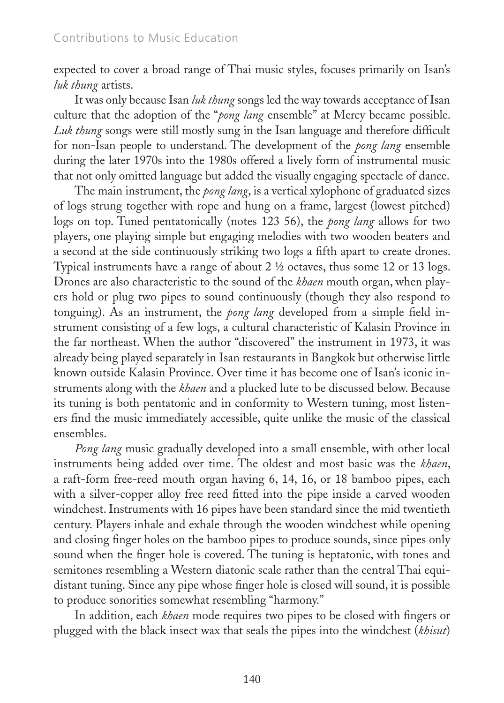expected to cover a broad range of Thai music styles, focuses primarily on Isan's *luk thung* artists.

It was only because Isan *luk thung* songs led the way towards acceptance of Isan culture that the adoption of the "*pong lang* ensemble" at Mercy became possible. *Luk thung* songs were still mostly sung in the Isan language and therefore difficult for non-Isan people to understand. The development of the *pong lang* ensemble during the later 1970s into the 1980s offered a lively form of instrumental music that not only omitted language but added the visually engaging spectacle of dance.

The main instrument, the *pong lang*, is a vertical xylophone of graduated sizes of logs strung together with rope and hung on a frame, largest (lowest pitched) logs on top. Tuned pentatonically (notes 123 56), the *pong lang* allows for two players, one playing simple but engaging melodies with two wooden beaters and a second at the side continuously striking two logs a fifth apart to create drones. Typical instruments have a range of about 2 ½ octaves, thus some 12 or 13 logs. Drones are also characteristic to the sound of the *khaen* mouth organ, when players hold or plug two pipes to sound continuously (though they also respond to tonguing). As an instrument, the *pong lang* developed from a simple field instrument consisting of a few logs, a cultural characteristic of Kalasin Province in the far northeast. When the author "discovered" the instrument in 1973, it was already being played separately in Isan restaurants in Bangkok but otherwise little known outside Kalasin Province. Over time it has become one of Isan's iconic instruments along with the *khaen* and a plucked lute to be discussed below. Because its tuning is both pentatonic and in conformity to Western tuning, most listeners find the music immediately accessible, quite unlike the music of the classical ensembles.

*Pong lang* music gradually developed into a small ensemble, with other local instruments being added over time. The oldest and most basic was the *khaen*, a raft-form free-reed mouth organ having 6, 14, 16, or 18 bamboo pipes, each with a silver-copper alloy free reed fitted into the pipe inside a carved wooden windchest. Instruments with 16 pipes have been standard since the mid twentieth century. Players inhale and exhale through the wooden windchest while opening and closing finger holes on the bamboo pipes to produce sounds, since pipes only sound when the finger hole is covered. The tuning is heptatonic, with tones and semitones resembling a Western diatonic scale rather than the central Thai equidistant tuning. Since any pipe whose finger hole is closed will sound, it is possible to produce sonorities somewhat resembling "harmony."

In addition, each *khaen* mode requires two pipes to be closed with fingers or plugged with the black insect wax that seals the pipes into the windchest (*khisut*)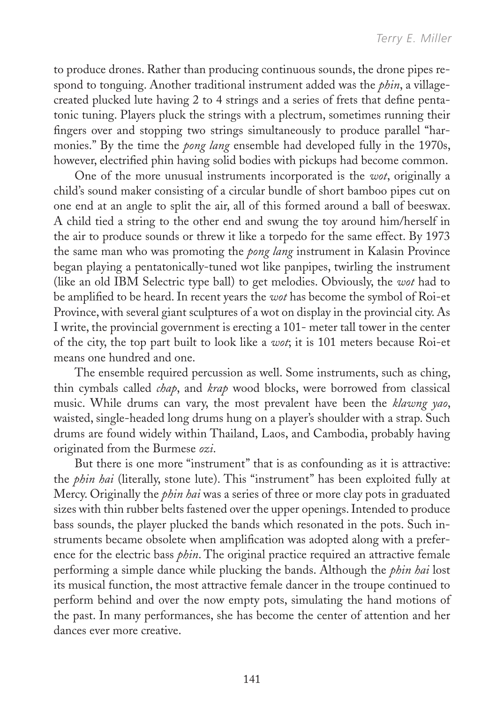to produce drones. Rather than producing continuous sounds, the drone pipes respond to tonguing. Another traditional instrument added was the *phin*, a villagecreated plucked lute having 2 to 4 strings and a series of frets that define pentatonic tuning. Players pluck the strings with a plectrum, sometimes running their fingers over and stopping two strings simultaneously to produce parallel "harmonies." By the time the *pong lang* ensemble had developed fully in the 1970s, however, electrified phin having solid bodies with pickups had become common.

One of the more unusual instruments incorporated is the *wot*, originally a child's sound maker consisting of a circular bundle of short bamboo pipes cut on one end at an angle to split the air, all of this formed around a ball of beeswax. A child tied a string to the other end and swung the toy around him/herself in the air to produce sounds or threw it like a torpedo for the same effect. By 1973 the same man who was promoting the *pong lang* instrument in Kalasin Province began playing a pentatonically-tuned wot like panpipes, twirling the instrument (like an old IBM Selectric type ball) to get melodies. Obviously, the *wot* had to be amplified to be heard. In recent years the *wot* has become the symbol of Roi-et Province, with several giant sculptures of a wot on display in the provincial city. As I write, the provincial government is erecting a 101- meter tall tower in the center of the city, the top part built to look like a *wot*; it is 101 meters because Roi-et means one hundred and one.

The ensemble required percussion as well. Some instruments, such as ching, thin cymbals called *chap*, and *krap* wood blocks, were borrowed from classical music. While drums can vary, the most prevalent have been the *klawng yao*, waisted, single-headed long drums hung on a player's shoulder with a strap. Such drums are found widely within Thailand, Laos, and Cambodia, probably having originated from the Burmese *ozi*.

But there is one more "instrument" that is as confounding as it is attractive: the *phin hai* (literally, stone lute). This "instrument" has been exploited fully at Mercy. Originally the *phin hai* was a series of three or more clay pots in graduated sizes with thin rubber belts fastened over the upper openings. Intended to produce bass sounds, the player plucked the bands which resonated in the pots. Such instruments became obsolete when amplification was adopted along with a preference for the electric bass *phin*. The original practice required an attractive female performing a simple dance while plucking the bands. Although the *phin hai* lost its musical function, the most attractive female dancer in the troupe continued to perform behind and over the now empty pots, simulating the hand motions of the past. In many performances, she has become the center of attention and her dances ever more creative.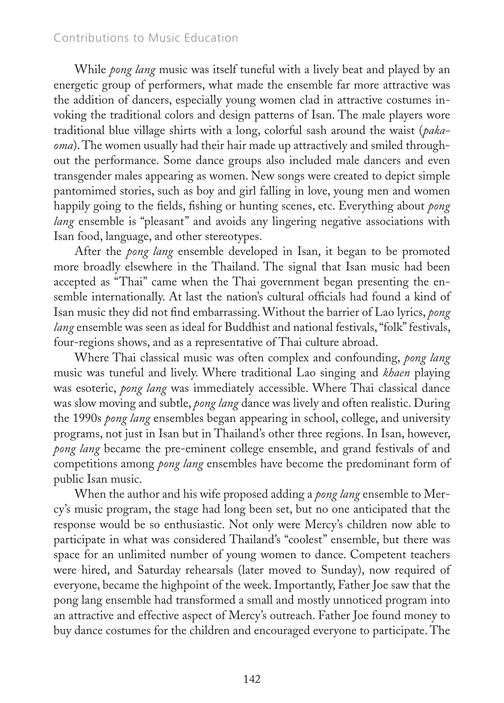While *pong lang* music was itself tuneful with a lively beat and played by an energetic group of performers, what made the ensemble far more attractive was the addition of dancers, especially young women clad in attractive costumes invoking the traditional colors and design patterns of Isan. The male players wore traditional blue village shirts with a long, colorful sash around the waist (*pakaoma*). The women usually had their hair made up attractively and smiled throughout the performance. Some dance groups also included male dancers and even transgender males appearing as women. New songs were created to depict simple pantomimed stories, such as boy and girl falling in love, young men and women happily going to the fields, fishing or hunting scenes, etc. Everything about *pong lang* ensemble is "pleasant" and avoids any lingering negative associations with Isan food, language, and other stereotypes.

After the *pong lang* ensemble developed in Isan, it began to be promoted more broadly elsewhere in the Thailand. The signal that Isan music had been accepted as "Thai" came when the Thai government began presenting the ensemble internationally. At last the nation's cultural officials had found a kind of Isan music they did not find embarrassing. Without the barrier of Lao lyrics, *pong lang* ensemble was seen as ideal for Buddhist and national festivals, "folk" festivals, four-regions shows, and as a representative of Thai culture abroad.

Where Thai classical music was often complex and confounding, *pong lang* music was tuneful and lively. Where traditional Lao singing and *khaen* playing was esoteric, *pong lang* was immediately accessible. Where Thai classical dance was slow moving and subtle, *pong lang* dance was lively and often realistic. During the 1990s *pong lang* ensembles began appearing in school, college, and university programs, not just in Isan but in Thailand's other three regions. In Isan, however, *pong lang* became the pre-eminent college ensemble, and grand festivals of and competitions among *pong lang* ensembles have become the predominant form of public Isan music.

When the author and his wife proposed adding a *pong lang* ensemble to Mercy's music program, the stage had long been set, but no one anticipated that the response would be so enthusiastic. Not only were Mercy's children now able to participate in what was considered Thailand's "coolest" ensemble, but there was space for an unlimited number of young women to dance. Competent teachers were hired, and Saturday rehearsals (later moved to Sunday), now required of everyone, became the highpoint of the week. Importantly, Father Joe saw that the pong lang ensemble had transformed a small and mostly unnoticed program into an attractive and effective aspect of Mercy's outreach. Father Joe found money to buy dance costumes for the children and encouraged everyone to participate. The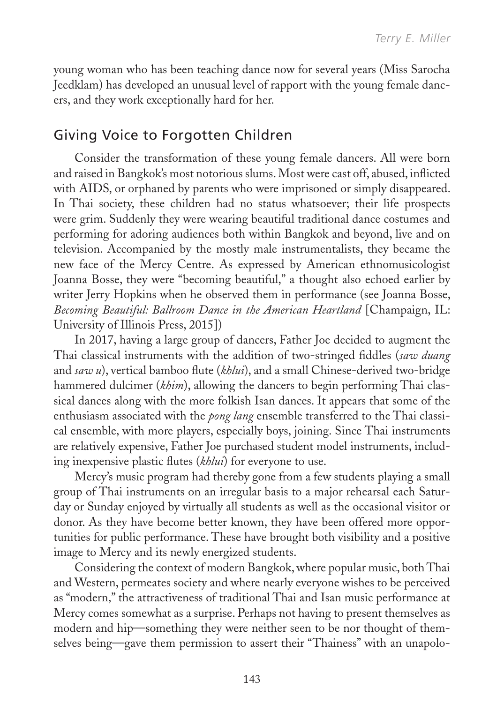young woman who has been teaching dance now for several years (Miss Sarocha Jeedklam) has developed an unusual level of rapport with the young female dancers, and they work exceptionally hard for her.

#### Giving Voice to Forgotten Children

Consider the transformation of these young female dancers. All were born and raised in Bangkok's most notorious slums. Most were cast off, abused, inflicted with AIDS, or orphaned by parents who were imprisoned or simply disappeared. In Thai society, these children had no status whatsoever; their life prospects were grim. Suddenly they were wearing beautiful traditional dance costumes and performing for adoring audiences both within Bangkok and beyond, live and on television. Accompanied by the mostly male instrumentalists, they became the new face of the Mercy Centre. As expressed by American ethnomusicologist Joanna Bosse, they were "becoming beautiful," a thought also echoed earlier by writer Jerry Hopkins when he observed them in performance (see Joanna Bosse, *Becoming Beautiful: Ballroom Dance in the American Heartland* [Champaign, IL: University of Illinois Press, 2015])

In 2017, having a large group of dancers, Father Joe decided to augment the Thai classical instruments with the addition of two-stringed fiddles (*saw duang* and *saw u*), vertical bamboo flute (*khlui*), and a small Chinese-derived two-bridge hammered dulcimer (*khim*), allowing the dancers to begin performing Thai classical dances along with the more folkish Isan dances. It appears that some of the enthusiasm associated with the *pong lang* ensemble transferred to the Thai classical ensemble, with more players, especially boys, joining. Since Thai instruments are relatively expensive, Father Joe purchased student model instruments, including inexpensive plastic flutes (*khlui*) for everyone to use.

Mercy's music program had thereby gone from a few students playing a small group of Thai instruments on an irregular basis to a major rehearsal each Saturday or Sunday enjoyed by virtually all students as well as the occasional visitor or donor. As they have become better known, they have been offered more opportunities for public performance. These have brought both visibility and a positive image to Mercy and its newly energized students.

Considering the context of modern Bangkok, where popular music, both Thai and Western, permeates society and where nearly everyone wishes to be perceived as "modern," the attractiveness of traditional Thai and Isan music performance at Mercy comes somewhat as a surprise. Perhaps not having to present themselves as modern and hip—something they were neither seen to be nor thought of themselves being—gave them permission to assert their "Thainess" with an unapolo-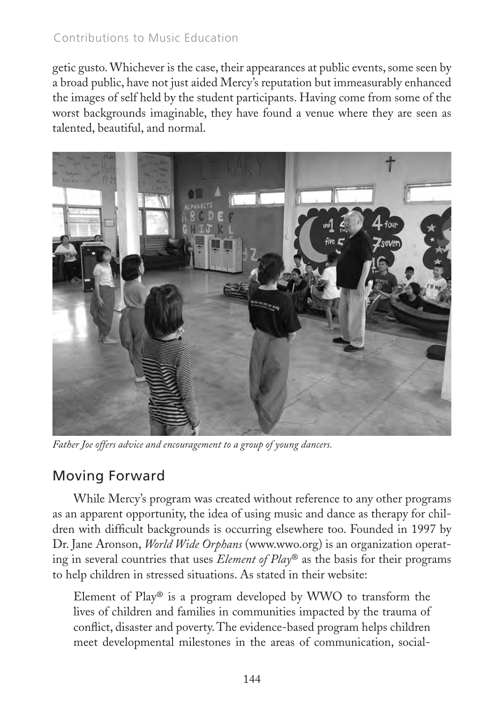getic gusto. Whichever is the case, their appearances at public events, some seen by a broad public, have not just aided Mercy's reputation but immeasurably enhanced the images of self held by the student participants. Having come from some of the worst backgrounds imaginable, they have found a venue where they are seen as talented, beautiful, and normal.



*Father Joe offers advice and encouragement to a group of young dancers.*

## Moving Forward

While Mercy's program was created without reference to any other programs as an apparent opportunity, the idea of using music and dance as therapy for children with difficult backgrounds is occurring elsewhere too. Founded in 1997 by Dr. Jane Aronson, *World Wide Orphans* (www.wwo.org) is an organization operating in several countries that uses *Element of Play*® as the basis for their programs to help children in stressed situations. As stated in their website:

Element of Play® is a program developed by WWO to transform the lives of children and families in communities impacted by the trauma of conflict, disaster and poverty. The evidence-based program helps children meet developmental milestones in the areas of communication, social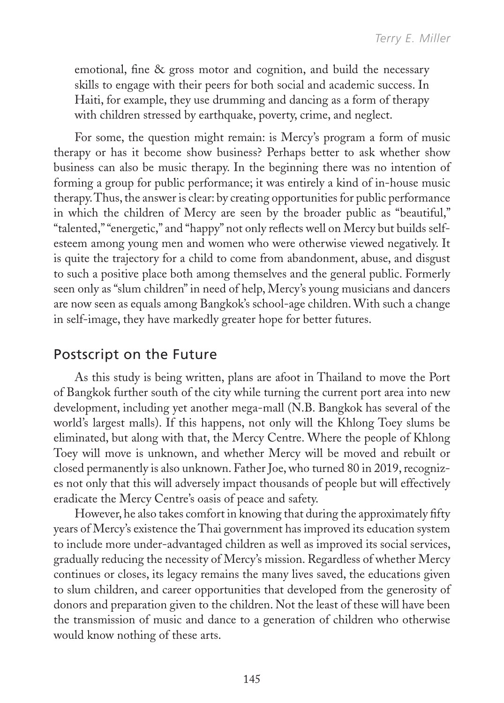emotional, fine & gross motor and cognition, and build the necessary skills to engage with their peers for both social and academic success. In Haiti, for example, they use drumming and dancing as a form of therapy with children stressed by earthquake, poverty, crime, and neglect.

For some, the question might remain: is Mercy's program a form of music therapy or has it become show business? Perhaps better to ask whether show business can also be music therapy. In the beginning there was no intention of forming a group for public performance; it was entirely a kind of in-house music therapy. Thus, the answer is clear: by creating opportunities for public performance in which the children of Mercy are seen by the broader public as "beautiful," "talented," "energetic," and "happy" not only reflects well on Mercy but builds selfesteem among young men and women who were otherwise viewed negatively. It is quite the trajectory for a child to come from abandonment, abuse, and disgust to such a positive place both among themselves and the general public. Formerly seen only as "slum children" in need of help, Mercy's young musicians and dancers are now seen as equals among Bangkok's school-age children. With such a change in self-image, they have markedly greater hope for better futures.

#### Postscript on the Future

As this study is being written, plans are afoot in Thailand to move the Port of Bangkok further south of the city while turning the current port area into new development, including yet another mega-mall (N.B. Bangkok has several of the world's largest malls). If this happens, not only will the Khlong Toey slums be eliminated, but along with that, the Mercy Centre. Where the people of Khlong Toey will move is unknown, and whether Mercy will be moved and rebuilt or closed permanently is also unknown. Father Joe, who turned 80 in 2019, recognizes not only that this will adversely impact thousands of people but will effectively eradicate the Mercy Centre's oasis of peace and safety.

However, he also takes comfort in knowing that during the approximately fifty years of Mercy's existence the Thai government has improved its education system to include more under-advantaged children as well as improved its social services, gradually reducing the necessity of Mercy's mission. Regardless of whether Mercy continues or closes, its legacy remains the many lives saved, the educations given to slum children, and career opportunities that developed from the generosity of donors and preparation given to the children. Not the least of these will have been the transmission of music and dance to a generation of children who otherwise would know nothing of these arts.